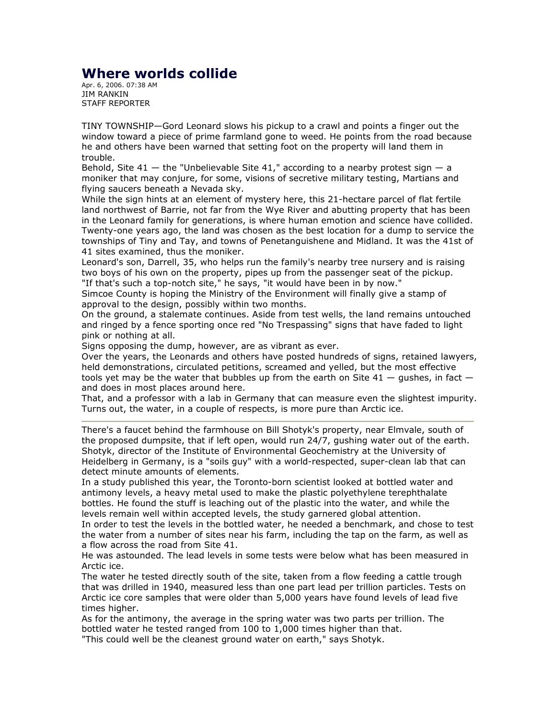## Where worlds collide

Apr. 6, 2006. 07:38 AM JIM RANKIN STAFF REPORTER

TINY TOWNSHIP—Gord Leonard slows his pickup to a crawl and points a finger out the window toward a piece of prime farmland gone to weed. He points from the road because he and others have been warned that setting foot on the property will land them in trouble.

Behold, Site  $41 -$  the "Unbelievable Site  $41$ ," according to a nearby protest sign  $-$  a moniker that may conjure, for some, visions of secretive military testing, Martians and flying saucers beneath a Nevada sky.

While the sign hints at an element of mystery here, this 21-hectare parcel of flat fertile land northwest of Barrie, not far from the Wye River and abutting property that has been in the Leonard family for generations, is where human emotion and science have collided. Twenty-one years ago, the land was chosen as the best location for a dump to service the townships of Tiny and Tay, and towns of Penetanguishene and Midland. It was the 41st of 41 sites examined, thus the moniker.

Leonard's son, Darrell, 35, who helps run the family's nearby tree nursery and is raising two boys of his own on the property, pipes up from the passenger seat of the pickup. "If that's such a top-notch site," he says, "it would have been in by now."

Simcoe County is hoping the Ministry of the Environment will finally give a stamp of approval to the design, possibly within two months.

On the ground, a stalemate continues. Aside from test wells, the land remains untouched and ringed by a fence sporting once red "No Trespassing" signs that have faded to light pink or nothing at all.

Signs opposing the dump, however, are as vibrant as ever.

Over the years, the Leonards and others have posted hundreds of signs, retained lawyers, held demonstrations, circulated petitions, screamed and yelled, but the most effective tools yet may be the water that bubbles up from the earth on Site  $41 -$  qushes, in fact  $$ and does in most places around here.

That, and a professor with a lab in Germany that can measure even the slightest impurity. Turns out, the water, in a couple of respects, is more pure than Arctic ice.

There's a faucet behind the farmhouse on Bill Shotyk's property, near Elmvale, south of the proposed dumpsite, that if left open, would run 24/7, gushing water out of the earth. Shotyk, director of the Institute of Environmental Geochemistry at the University of Heidelberg in Germany, is a "soils guy" with a world-respected, super-clean lab that can detect minute amounts of elements.

In a study published this year, the Toronto-born scientist looked at bottled water and antimony levels, a heavy metal used to make the plastic polyethylene terephthalate bottles. He found the stuff is leaching out of the plastic into the water, and while the levels remain well within accepted levels, the study garnered global attention.

In order to test the levels in the bottled water, he needed a benchmark, and chose to test the water from a number of sites near his farm, including the tap on the farm, as well as a flow across the road from Site 41.

He was astounded. The lead levels in some tests were below what has been measured in Arctic ice.

The water he tested directly south of the site, taken from a flow feeding a cattle trough that was drilled in 1940, measured less than one part lead per trillion particles. Tests on Arctic ice core samples that were older than 5,000 years have found levels of lead five times higher.

As for the antimony, the average in the spring water was two parts per trillion. The bottled water he tested ranged from 100 to 1,000 times higher than that. "This could well be the cleanest ground water on earth," says Shotyk.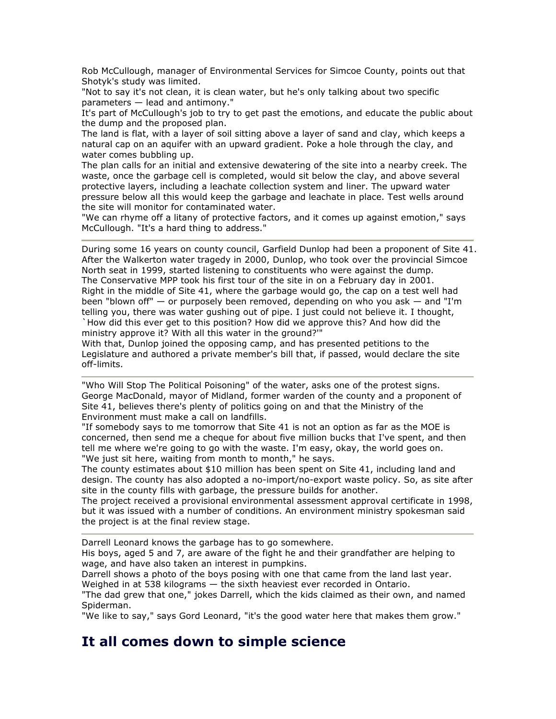Rob McCullough, manager of Environmental Services for Simcoe County, points out that Shotyk's study was limited.

"Not to say it's not clean, it is clean water, but he's only talking about two specific parameters — lead and antimony."

It's part of McCullough's job to try to get past the emotions, and educate the public about the dump and the proposed plan.

The land is flat, with a layer of soil sitting above a layer of sand and clay, which keeps a natural cap on an aquifer with an upward gradient. Poke a hole through the clay, and water comes bubbling up.

The plan calls for an initial and extensive dewatering of the site into a nearby creek. The waste, once the garbage cell is completed, would sit below the clay, and above several protective layers, including a leachate collection system and liner. The upward water pressure below all this would keep the garbage and leachate in place. Test wells around the site will monitor for contaminated water.

"We can rhyme off a litany of protective factors, and it comes up against emotion," says McCullough. "It's a hard thing to address."

During some 16 years on county council, Garfield Dunlop had been a proponent of Site 41. After the Walkerton water tragedy in 2000, Dunlop, who took over the provincial Simcoe North seat in 1999, started listening to constituents who were against the dump. The Conservative MPP took his first tour of the site in on a February day in 2001. Right in the middle of Site 41, where the garbage would go, the cap on a test well had been "blown off" — or purposely been removed, depending on who you ask — and "I'm telling you, there was water gushing out of pipe. I just could not believe it. I thought, `How did this ever get to this position? How did we approve this? And how did the ministry approve it? With all this water in the ground?'"

With that, Dunlop joined the opposing camp, and has presented petitions to the Legislature and authored a private member's bill that, if passed, would declare the site off-limits.

"Who Will Stop The Political Poisoning" of the water, asks one of the protest signs. George MacDonald, mayor of Midland, former warden of the county and a proponent of Site 41, believes there's plenty of politics going on and that the Ministry of the Environment must make a call on landfills.

"If somebody says to me tomorrow that Site 41 is not an option as far as the MOE is concerned, then send me a cheque for about five million bucks that I've spent, and then tell me where we're going to go with the waste. I'm easy, okay, the world goes on. "We just sit here, waiting from month to month," he says.

The county estimates about \$10 million has been spent on Site 41, including land and design. The county has also adopted a no-import/no-export waste policy. So, as site after site in the county fills with garbage, the pressure builds for another.

The project received a provisional environmental assessment approval certificate in 1998, but it was issued with a number of conditions. An environment ministry spokesman said the project is at the final review stage.

Darrell Leonard knows the garbage has to go somewhere.

His boys, aged 5 and 7, are aware of the fight he and their grandfather are helping to wage, and have also taken an interest in pumpkins.

Darrell shows a photo of the boys posing with one that came from the land last year. Weighed in at 538 kilograms — the sixth heaviest ever recorded in Ontario.

"The dad grew that one," jokes Darrell, which the kids claimed as their own, and named Spiderman.

"We like to say," says Gord Leonard, "it's the good water here that makes them grow."

## It all comes down to simple science